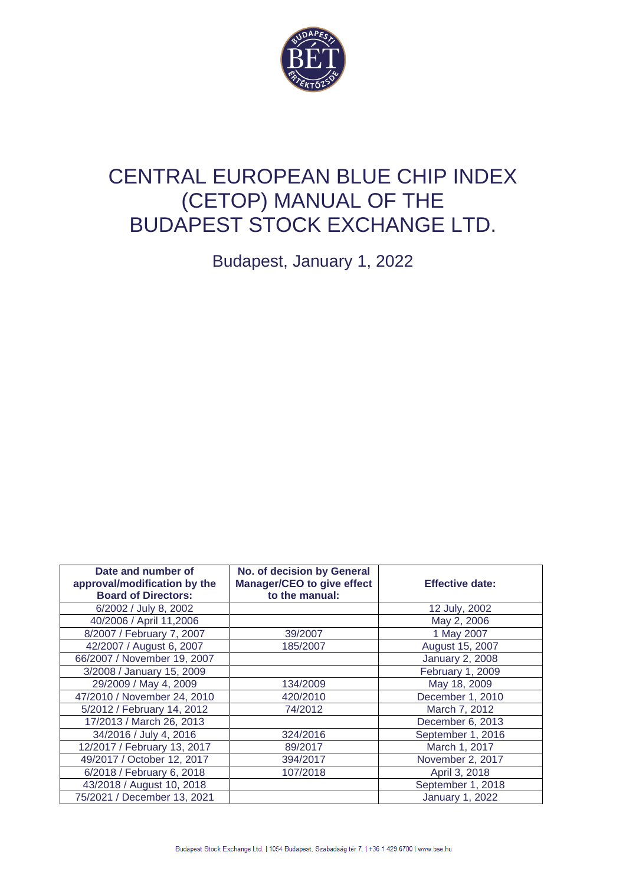

# CENTRAL EUROPEAN BLUE CHIP INDEX (CETOP) MANUAL OF THE BUDAPEST STOCK EXCHANGE LTD.

Budapest, January 1, 2022

| Date and number of<br>approval/modification by the<br><b>Board of Directors:</b> | No. of decision by General<br>Manager/CEO to give effect<br>to the manual: | <b>Effective date:</b> |
|----------------------------------------------------------------------------------|----------------------------------------------------------------------------|------------------------|
| 6/2002 / July 8, 2002                                                            |                                                                            | 12 July, 2002          |
| 40/2006 / April 11,2006                                                          |                                                                            | May 2, 2006            |
| 8/2007 / February 7, 2007                                                        | 39/2007                                                                    | 1 May 2007             |
| 42/2007 / August 6, 2007                                                         | 185/2007                                                                   | August 15, 2007        |
| 66/2007 / November 19, 2007                                                      |                                                                            | <b>January 2, 2008</b> |
| 3/2008 / January 15, 2009                                                        |                                                                            | February 1, 2009       |
| 29/2009 / May 4, 2009                                                            | 134/2009                                                                   | May 18, 2009           |
| 47/2010 / November 24, 2010                                                      | 420/2010                                                                   | December 1, 2010       |
| 5/2012 / February 14, 2012                                                       | 74/2012                                                                    | March 7, 2012          |
| 17/2013 / March 26, 2013                                                         |                                                                            | December 6, 2013       |
| 34/2016 / July 4, 2016                                                           | 324/2016                                                                   | September 1, 2016      |
| 12/2017 / February 13, 2017                                                      | 89/2017                                                                    | March 1, 2017          |
| 49/2017 / October 12, 2017                                                       | 394/2017                                                                   | November 2, 2017       |
| 6/2018 / February 6, 2018                                                        | 107/2018                                                                   | April 3, 2018          |
| 43/2018 / August 10, 2018                                                        |                                                                            | September 1, 2018      |
| 75/2021 / December 13, 2021                                                      |                                                                            | <b>January 1, 2022</b> |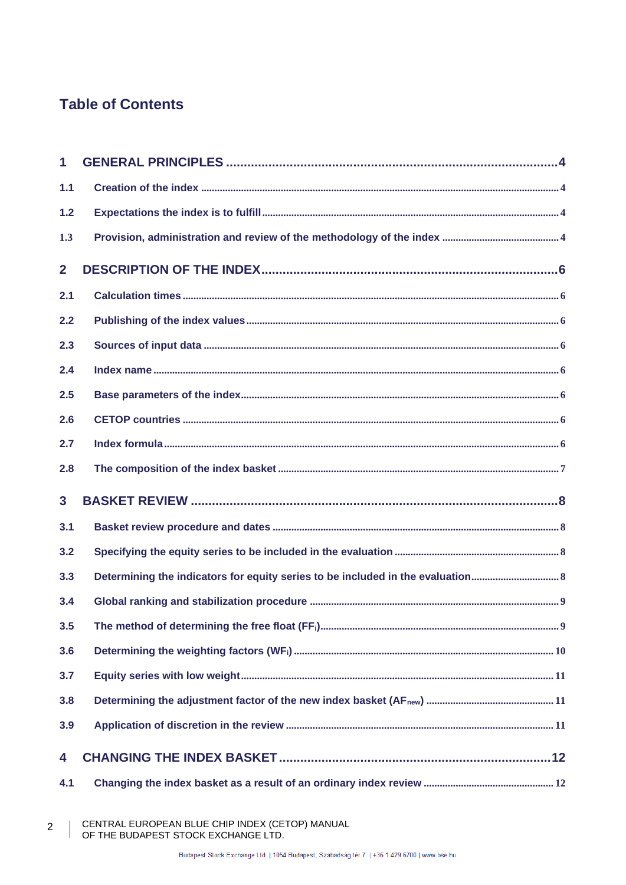# **Table of Contents**

| $\mathbf 1$     |                                                                               |
|-----------------|-------------------------------------------------------------------------------|
| 1.1             |                                                                               |
| 1.2             |                                                                               |
| 1.3             |                                                                               |
| $\overline{2}$  |                                                                               |
| 2.1             |                                                                               |
| 2.2             |                                                                               |
| 2.3             |                                                                               |
| 2.4             |                                                                               |
| 2.5             |                                                                               |
| 2.6             |                                                                               |
| 2.7             |                                                                               |
| 2.8             |                                                                               |
| $3\overline{3}$ |                                                                               |
| 3.1             |                                                                               |
| 3.2             |                                                                               |
| 3.3             | Determining the indicators for equity series to be included in the evaluation |
| 3.4             |                                                                               |
| 3.5             |                                                                               |
| 3.6             |                                                                               |
| 3.7             |                                                                               |
| 3.8             |                                                                               |
| 3.9             |                                                                               |
| 4               |                                                                               |
| 4.1             |                                                                               |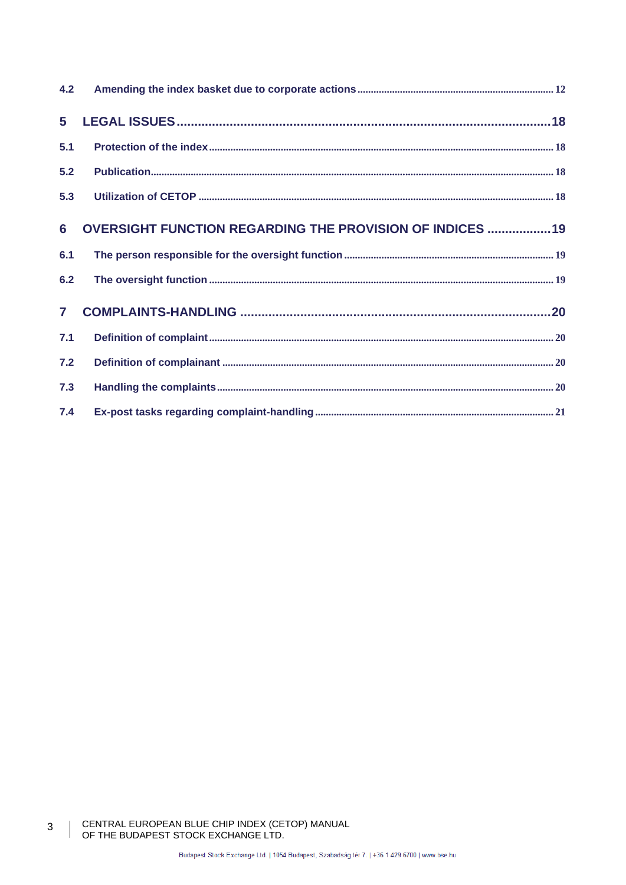| 5            |                                                                 |  |
|--------------|-----------------------------------------------------------------|--|
| 5.1          |                                                                 |  |
| 5.2          |                                                                 |  |
| 5.3          |                                                                 |  |
| 6            | <b>OVERSIGHT FUNCTION REGARDING THE PROVISION OF INDICES 19</b> |  |
| 6.1          |                                                                 |  |
| 6.2          |                                                                 |  |
| $\mathbf{7}$ |                                                                 |  |
| 7.1          |                                                                 |  |
| 7.2          |                                                                 |  |
| 7.3          |                                                                 |  |
| 7.4          |                                                                 |  |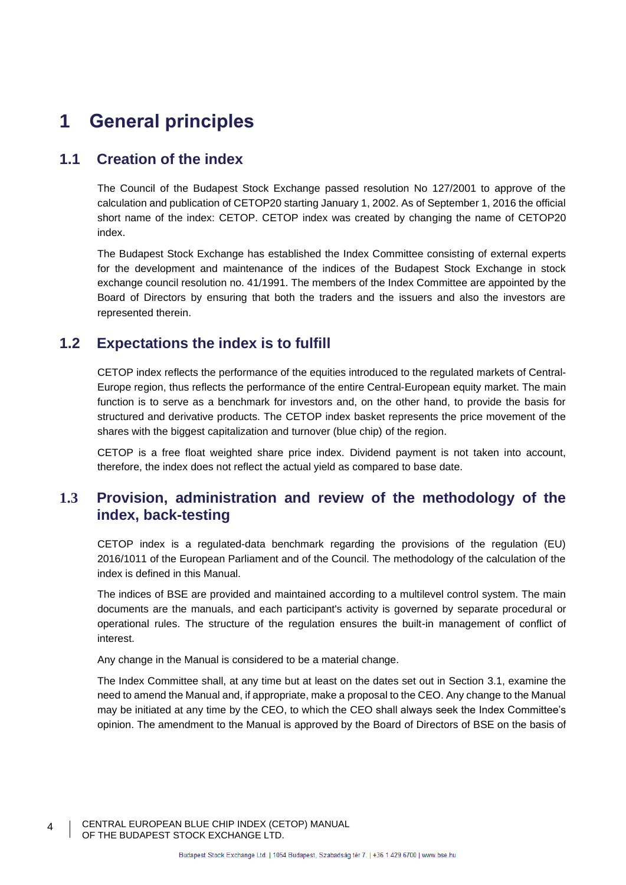# **1 General principles**

# **1.1 Creation of the index**

The Council of the Budapest Stock Exchange passed resolution No 127/2001 to approve of the calculation and publication of CETOP20 starting January 1, 2002. As of September 1, 2016 the official short name of the index: CETOP. CETOP index was created by changing the name of CETOP20 index.

The Budapest Stock Exchange has established the Index Committee consisting of external experts for the development and maintenance of the indices of the Budapest Stock Exchange in stock exchange council resolution no. 41/1991. The members of the Index Committee are appointed by the Board of Directors by ensuring that both the traders and the issuers and also the investors are represented therein.

## **1.2 Expectations the index is to fulfill**

CETOP index reflects the performance of the equities introduced to the regulated markets of Central-Europe region, thus reflects the performance of the entire Central-European equity market. The main function is to serve as a benchmark for investors and, on the other hand, to provide the basis for structured and derivative products. The CETOP index basket represents the price movement of the shares with the biggest capitalization and turnover (blue chip) of the region.

CETOP is a free float weighted share price index. Dividend payment is not taken into account, therefore, the index does not reflect the actual yield as compared to base date.

# **1.3 Provision, administration and review of the methodology of the index, back-testing**

CETOP index is a regulated-data benchmark regarding the provisions of the regulation (EU) 2016/1011 of the European Parliament and of the Council. The methodology of the calculation of the index is defined in this Manual.

The indices of BSE are provided and maintained according to a multilevel control system. The main documents are the manuals, and each participant's activity is governed by separate procedural or operational rules. The structure of the regulation ensures the built-in management of conflict of interest.

Any change in the Manual is considered to be a material change.

The Index Committee shall, at any time but at least on the dates set out in Section [3.1,](#page-7-0) examine the need to amend the Manual and, if appropriate, make a proposal to the CEO. Any change to the Manual may be initiated at any time by the CEO, to which the CEO shall always seek the Index Committee's opinion. The amendment to the Manual is approved by the Board of Directors of BSE on the basis of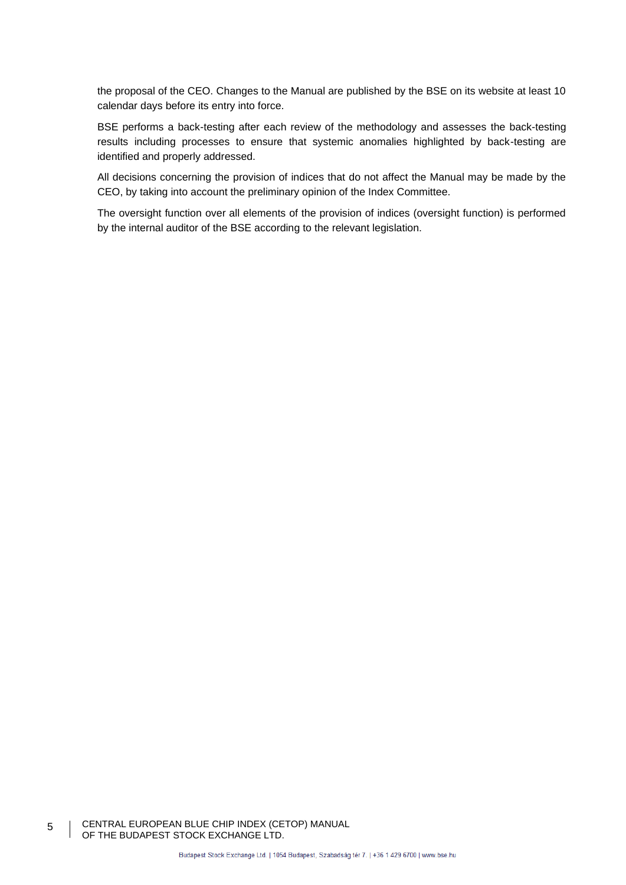the proposal of the CEO. Changes to the Manual are published by the BSE on its website at least 10 calendar days before its entry into force.

BSE performs a back-testing after each review of the methodology and assesses the back-testing results including processes to ensure that systemic anomalies highlighted by back-testing are identified and properly addressed.

All decisions concerning the provision of indices that do not affect the Manual may be made by the CEO, by taking into account the preliminary opinion of the Index Committee.

The oversight function over all elements of the provision of indices (oversight function) is performed by the internal auditor of the BSE according to the relevant legislation.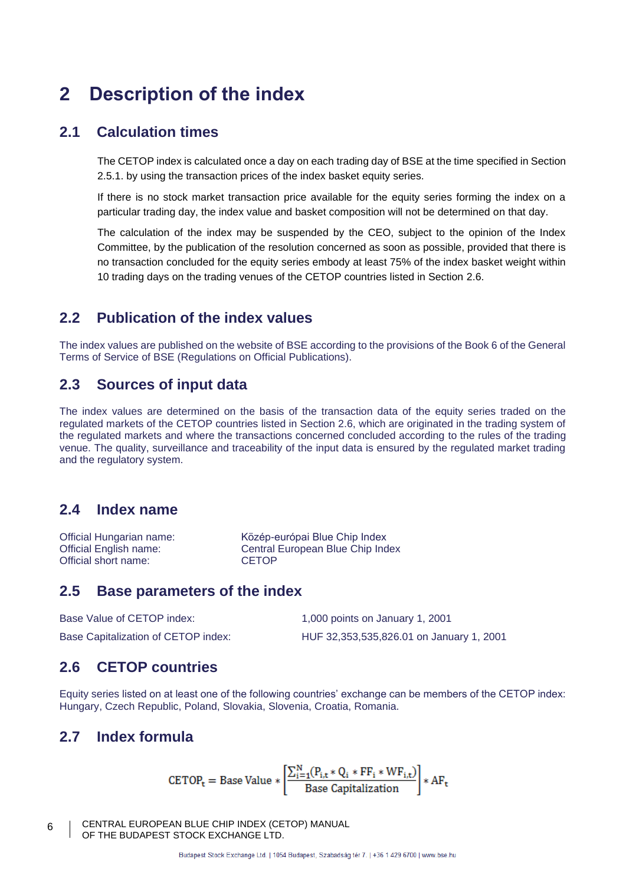# **2 Description of the index**

# **2.1 Calculation times**

The CETOP index is calculated once a day on each trading day of BSE at the time specified in Section [2.5.1.](#page-6-0) by using the transaction prices of the index basket equity series.

If there is no stock market transaction price available for the equity series forming the index on a particular trading day, the index value and basket composition will not be determined on that day.

The calculation of the index may be suspended by the CEO, subject to the opinion of the Index Committee, by the publication of the resolution concerned as soon as possible, provided that there is no transaction concluded for the equity series embody at least 75% of the index basket weight within 10 trading days on the trading venues of the CETOP countries listed in Section [2.6.](#page-5-0)

# **2.2 Publication of the index values**

The index values are published on the website of BSE according to the provisions of the Book 6 of the General Terms of Service of BSE (Regulations on Official Publications).

# **2.3 Sources of input data**

The index values are determined on the basis of the transaction data of the equity series traded on the regulated markets of the CETOP countries listed in Section 2.6, which are originated in the trading system of the regulated markets and where the transactions concerned concluded according to the rules of the trading venue. The quality, surveillance and traceability of the input data is ensured by the regulated market trading and the regulatory system.

## **2.4 Index name**

Official Hungarian name: Közép-európai Blue Chip Index Official English name: Central European Blue Chip Index<br>
CETOP<br>
CETOP Official short name:

### **2.5 Base parameters of the index**

| Base Value of CETOP index:          | 1,000 points on January 1, 2001          |
|-------------------------------------|------------------------------------------|
| Base Capitalization of CETOP index: | HUF 32,353,535,826.01 on January 1, 2001 |

## <span id="page-5-0"></span>**2.6 CETOP countries**

Equity series listed on at least one of the following countries' exchange can be members of the CETOP index: Hungary, Czech Republic, Poland, Slovakia, Slovenia, Croatia, Romania.

## **2.7 Index formula**

$$
\text{CETOP}_{\text{t}} = \text{Base Value} * \left[\frac{\sum_{i=1}^{N} (P_{i,\text{t}} * Q_i * FF_i * WF_{i,\text{t}})}{\text{Base Capitalization}}\right] * AF_{\text{t}}
$$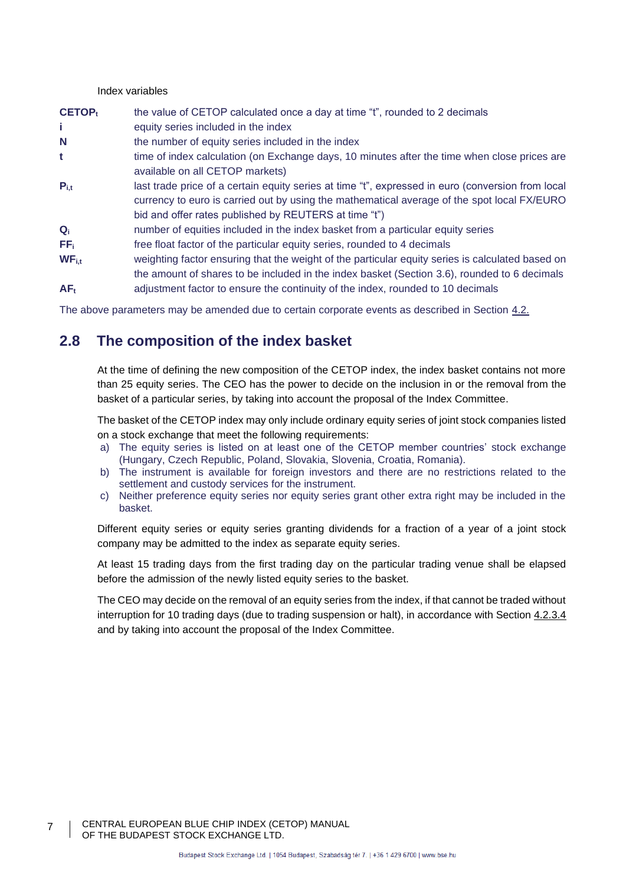#### Index variables

<span id="page-6-0"></span>

| <b>CETOP</b> <sub>t</sub> | the value of CETOP calculated once a day at time "t", rounded to 2 decimals                                                                                                                                                                               |
|---------------------------|-----------------------------------------------------------------------------------------------------------------------------------------------------------------------------------------------------------------------------------------------------------|
| Î.                        | equity series included in the index                                                                                                                                                                                                                       |
| N                         | the number of equity series included in the index                                                                                                                                                                                                         |
| t                         | time of index calculation (on Exchange days, 10 minutes after the time when close prices are<br>available on all CETOP markets)                                                                                                                           |
| $P_{i,t}$                 | last trade price of a certain equity series at time "t", expressed in euro (conversion from local<br>currency to euro is carried out by using the mathematical average of the spot local FX/EURO<br>bid and offer rates published by REUTERS at time "t") |
| $Q_i$                     | number of equities included in the index basket from a particular equity series                                                                                                                                                                           |
| FF <sub>i</sub>           | free float factor of the particular equity series, rounded to 4 decimals                                                                                                                                                                                  |
| $WF_{i.t}$                | weighting factor ensuring that the weight of the particular equity series is calculated based on<br>the amount of shares to be included in the index basket (Section 3.6), rounded to 6 decimals                                                          |
| $AF_t$                    | adjustment factor to ensure the continuity of the index, rounded to 10 decimals                                                                                                                                                                           |

The above parameters may be amended due to certain corporate events as described in Section [4.2.](#page-17-0)

# **2.8 The composition of the index basket**

At the time of defining the new composition of the CETOP index, the index basket contains not more than 25 equity series. The CEO has the power to decide on the inclusion in or the removal from the basket of a particular series, by taking into account the proposal of the Index Committee.

The basket of the CETOP index may only include ordinary equity series of joint stock companies listed on a stock exchange that meet the following requirements:

- a) The equity series is listed on at least one of the CETOP member countries' stock exchange (Hungary, Czech Republic, Poland, Slovakia, Slovenia, Croatia, Romania).
- b) The instrument is available for foreign investors and there are no restrictions related to the settlement and custody services for the instrument.
- c) Neither preference equity series nor equity series grant other extra right may be included in the basket.

Different equity series or equity series granting dividends for a fraction of a year of a joint stock company may be admitted to the index as separate equity series.

At least 15 trading days from the first trading day on the particular trading venue shall be elapsed before the admission of the newly listed equity series to the basket.

The CEO may decide on the removal of an equity series from the index, if that cannot be traded without interruption for 10 trading days (due to trading suspension or halt), in accordance with Section [4.2.3.4](#page-13-0) and by taking into account the proposal of the Index Committee.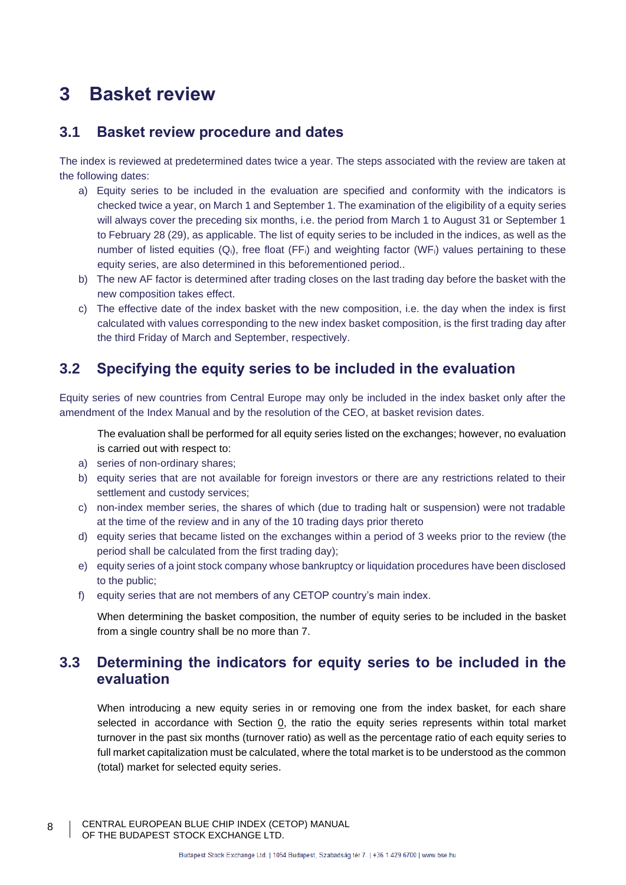# **3 Basket review**

# <span id="page-7-0"></span>**3.1 Basket review procedure and dates**

The index is reviewed at predetermined dates twice a year. The steps associated with the review are taken at the following dates:

- a) Equity series to be included in the evaluation are specified and conformity with the indicators is checked twice a year, on March 1 and September 1. The examination of the eligibility of a equity series will always cover the preceding six months, i.e. the period from March 1 to August 31 or September 1 to February 28 (29), as applicable. The list of equity series to be included in the indices, as well as the number of listed equities  $(Q_i)$ , free float (FF;) and weighting factor (WF;) values pertaining to these equity series, are also determined in this beforementioned period..
- b) The new AF factor is determined after trading closes on the last trading day before the basket with the new composition takes effect.
- c) The effective date of the index basket with the new composition, i.e. the day when the index is first calculated with values corresponding to the new index basket composition, is the first trading day after the third Friday of March and September, respectively.

# **3.2 Specifying the equity series to be included in the evaluation**

<span id="page-7-1"></span>Equity series of new countries from Central Europe may only be included in the index basket only after the amendment of the Index Manual and by the resolution of the CEO, at basket revision dates.

The evaluation shall be performed for all equity series listed on the exchanges; however, no evaluation is carried out with respect to:

- a) series of non-ordinary shares;
- <span id="page-7-4"></span>b) equity series that are not available for foreign investors or there are any restrictions related to their settlement and custody services;
- c) non-index member series, the shares of which (due to trading halt or suspension) were not tradable at the time of the review and in any of the 10 trading days prior thereto
- d) equity series that became listed on the exchanges within a period of 3 weeks prior to the review (the period shall be calculated from the first trading day);
- e) equity series of a joint stock company whose bankruptcy or liquidation procedures have been disclosed to the public;
- <span id="page-7-3"></span>f) equity series that are not members of any CETOP country's main index.

When determining the basket composition, the number of equity series to be included in the basket from a single country shall be no more than 7.

# <span id="page-7-2"></span>**3.3 Determining the indicators for equity series to be included in the evaluation**

<span id="page-7-5"></span>When introducing a new equity series in or removing one from the index basket, for each share selected in accordance with Section [0,](#page-7-1) the ratio the equity series represents within total market turnover in the past six months (turnover ratio) as well as the percentage ratio of each equity series to full market capitalization must be calculated, where the total market is to be understood as the common (total) market for selected equity series.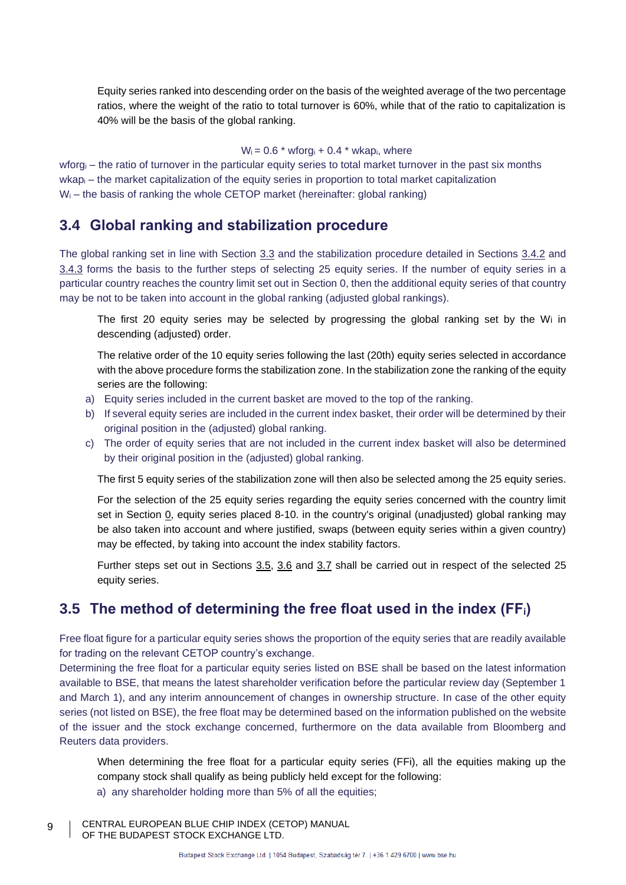Equity series ranked into descending order on the basis of the weighted average of the two percentage ratios, where the weight of the ratio to total turnover is 60%, while that of the ratio to capitalization is 40% will be the basis of the global ranking.

#### $W_i = 0.6$  \* wforg<sub>i</sub> + 0.4 \* wkap<sub>i</sub>, where

wforg<sub>i</sub> – the ratio of turnover in the particular equity series to total market turnover in the past six months wkap<sub>i</sub> – the market capitalization of the equity series in proportion to total market capitalization  $W_i$  – the basis of ranking the whole CETOP market (hereinafter: global ranking)

### **3.4 Global ranking and stabilization procedure**

The global ranking set in line with Section [3.3](#page-7-2) and the stabilization procedure detailed in Sections [3.4.2](#page-8-0) and [3.4.3](#page-8-1) forms the basis to the further steps of selecting 25 equity series. If the number of equity series in a particular country reaches the country limit set out in Section [0,](#page-7-3) then the additional equity series of that country may be not to be taken into account in the global ranking (adjusted global rankings).

The first 20 equity series may be selected by progressing the global ranking set by the Wi in descending (adjusted) order.

<span id="page-8-0"></span>The relative order of the 10 equity series following the last (20th) equity series selected in accordance with the above procedure forms the stabilization zone. In the stabilization zone the ranking of the equity series are the following:

- a) Equity series included in the current basket are moved to the top of the ranking.
- b) If several equity series are included in the current index basket, their order will be determined by their original position in the (adjusted) global ranking.
- c) The order of equity series that are not included in the current index basket will also be determined by their original position in the (adjusted) global ranking.

<span id="page-8-1"></span>The first 5 equity series of the stabilization zone will then also be selected among the 25 equity series.

<span id="page-8-3"></span>For the selection of the 25 equity series regarding the equity series concerned with the country limit set in Section [0,](#page-7-3) equity series placed 8-10. in the country's original (unadjusted) global ranking may be also taken into account and where justified, swaps (between equity series within a given country) may be effected, by taking into account the index stability factors.

Further steps set out in Sections [3.5,](#page-8-2) [3.6](#page-9-0) and [3.7](#page-10-0) shall be carried out in respect of the selected 25 equity series.

# <span id="page-8-2"></span>**3.5 The method of determining the free float used in the index (FFi)**

Free float figure for a particular equity series shows the proportion of the equity series that are readily available for trading on the relevant CETOP country's exchange.

Determining the free float for a particular equity series listed on BSE shall be based on the latest information available to BSE, that means the latest shareholder verification before the particular review day (September 1 and March 1), and any interim announcement of changes in ownership structure. In case of the other equity series (not listed on BSE), the free float may be determined based on the information published on the website of the issuer and the stock exchange concerned, furthermore on the data available from Bloomberg and Reuters data providers.

When determining the free float for a particular equity series (FFi), all the equities making up the company stock shall qualify as being publicly held except for the following:

- a) any shareholder holding more than 5% of all the equities;
- CENTRAL EUROPEAN BLUE CHIP INDEX (CETOP) MANUAL OF THE BUDAPEST STOCK EXCHANGE LTD.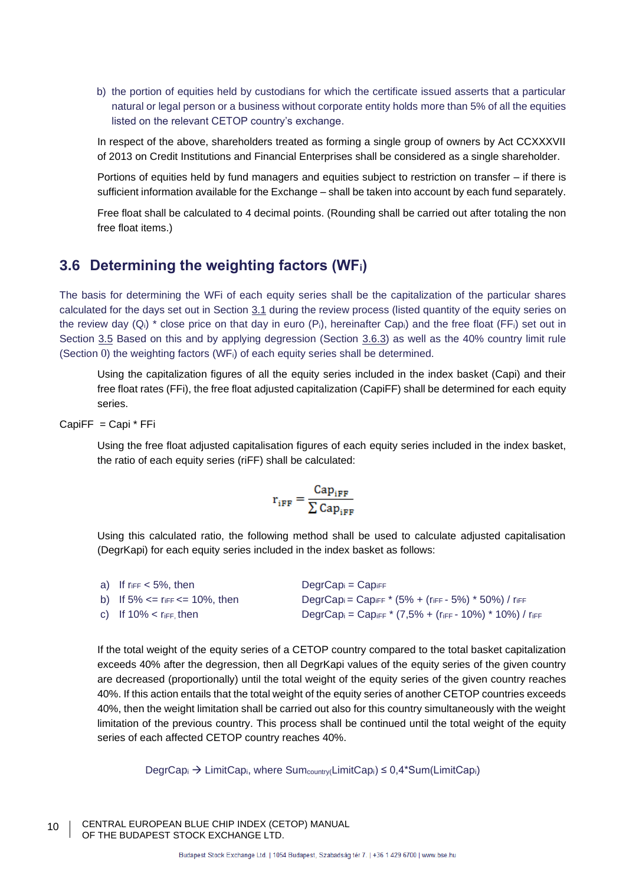b) the portion of equities held by custodians for which the certificate issued asserts that a particular natural or legal person or a business without corporate entity holds more than 5% of all the equities listed on the relevant CETOP country's exchange.

In respect of the above, shareholders treated as forming a single group of owners by Act CCXXXVII of 2013 on Credit Institutions and Financial Enterprises shall be considered as a single shareholder.

Portions of equities held by fund managers and equities subject to restriction on transfer – if there is sufficient information available for the Exchange – shall be taken into account by each fund separately.

Free float shall be calculated to 4 decimal points. (Rounding shall be carried out after totaling the non free float items.)

# <span id="page-9-0"></span>**3.6 Determining the weighting factors (WFi)**

The basis for determining the WFi of each equity series shall be the capitalization of the particular shares calculated for the days set out in Section [3.1](#page-7-0) during the review process (listed quantity of the equity series on the review day  $(Q_i)$  \* close price on that day in euro  $(P_i)$ , hereinafter Cap<sub>i</sub>) and the free float (FF<sub>i</sub>) set out in Section [3.5](#page-8-2) Based on this and by applying degression (Section [3.6.3\)](#page-9-1) as well as the 40% country limit rule (Section [0](#page-9-2)) the weighting factors (WFi) of each equity series shall be determined.

Using the capitalization figures of all the equity series included in the index basket (Capi) and their free float rates (FFi), the free float adjusted capitalization (CapiFF) shall be determined for each equity series.

CapiFF = Capi \* FFi

Using the free float adjusted capitalisation figures of each equity series included in the index basket, the ratio of each equity series (riFF) shall be calculated:

$$
\mathbf{r}_{iFF} = \frac{\text{Cap}_{iFF}}{\sum \text{Cap}_{iFF}}
$$

<span id="page-9-1"></span>Using this calculated ratio, the following method shall be used to calculate adjusted capitalisation (DegrKapi) for each equity series included in the index basket as follows:

| a) If $r_{\text{IFF}} < 5\%$ , then          | $DegrCap_i = Cap_{iFF}$                                                                              |
|----------------------------------------------|------------------------------------------------------------------------------------------------------|
| b) If $5\% == r_{\text{IFF}} == 10\%$ , then | DegrCap <sub>i</sub> = Cap <sub>iFF</sub> * (5% + ( $r_{\text{IFF}}$ - 5%) * 50%) / $r_{\text{IFF}}$ |
| c) If $10\%$ < riff, then                    | DegrCapi = Capiff * $(7,5% + (r_{\text{iff}} - 10%)$ * 10%) / riff                                   |

<span id="page-9-2"></span>If the total weight of the equity series of a CETOP country compared to the total basket capitalization exceeds 40% after the degression, then all DegrKapi values of the equity series of the given country are decreased (proportionally) until the total weight of the equity series of the given country reaches 40%. If this action entails that the total weight of the equity series of another CETOP countries exceeds 40%, then the weight limitation shall be carried out also for this country simultaneously with the weight limitation of the previous country. This process shall be continued until the total weight of the equity series of each affected CETOP country reaches 40%.

 $DegrCap_i \rightarrow LimitCap_i$ , where  $Sum_{country}(LimitCap_i) \leq 0.4*Sum(LimitCap_i)$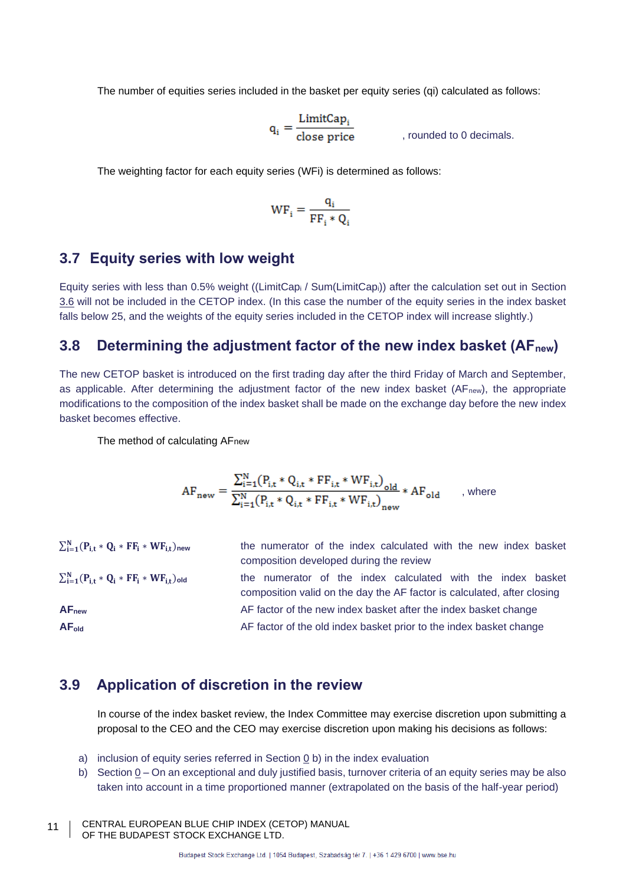The number of equities series included in the basket per equity series (qi) calculated as follows:

$$
q_i = \frac{\text{LimitCap}_i}{\text{close price}} \qquad \qquad \text{, rounded to 0 decimals.}
$$

The weighting factor for each equity series (WFi) is determined as follows:

$$
WF_i = \frac{q_i}{FF_i * Q_i}
$$

### <span id="page-10-0"></span>**3.7 Equity series with low weight**

Equity series with less than 0.5% weight ((LimitCap<sup>i</sup> / Sum(LimitCapi)) after the calculation set out in Section [3.6](#page-9-0) will not be included in the CETOP index. (In this case the number of the equity series in the index basket falls below 25, and the weights of the equity series included in the CETOP index will increase slightly.)

### <span id="page-10-2"></span>**3.8 Determining the adjustment factor of the new index basket (AFnew)**

The new CETOP basket is introduced on the first trading day after the third Friday of March and September, as applicable. After determining the adjustment factor of the new index basket (AF<sub>new</sub>), the appropriate modifications to the composition of the index basket shall be made on the exchange day before the new index basket becomes effective.

The method of calculating AFnew

$$
AF_{\text{new}} = \frac{\sum_{i=1}^{N} (P_{i,t} * Q_{i,t} * FF_{i,t} * WF_{i,t})_{old}}{\sum_{i=1}^{N} (P_{i,t} * Q_{i,t} * FF_{i,t} * WF_{i,t})_{new}} * AF_{old} \qquad \text{, where}
$$

| $\sum_{i=1}^{N} (P_{i,t} * Q_i * FF_i * WF_{i,t})_{new}$ | the numerator of the index calculated with the new index basket         |  |
|----------------------------------------------------------|-------------------------------------------------------------------------|--|
|                                                          | composition developed during the review                                 |  |
| $\sum_{i=1}^{N} (P_{i,t} * Q_i * FF_i * WF_{i,t})_{old}$ | the numerator of the index calculated with the index basket             |  |
|                                                          | composition valid on the day the AF factor is calculated, after closing |  |
| AF <sub>new</sub>                                        | AF factor of the new index basket after the index basket change         |  |
| AF <sub>old</sub>                                        | AF factor of the old index basket prior to the index basket change      |  |

### <span id="page-10-1"></span>**3.9 Application of discretion in the review**

In course of the index basket review, the Index Committee may exercise discretion upon submitting a proposal to the CEO and the CEO may exercise discretion upon making his decisions as follows:

- a) inclusion of equity series referred in Section [0](#page-7-1) [b\)](#page-7-4) in the index evaluation
- b) Section  $Q On$  an exceptional and duly justified basis, turnover criteria of an equity series may be also taken into account in a time proportioned manner (extrapolated on the basis of the half-year period)
- CENTRAL EUROPEAN BLUE CHIP INDEX (CETOP) MANUAL OF THE BUDAPEST STOCK EXCHANGE LTD. 11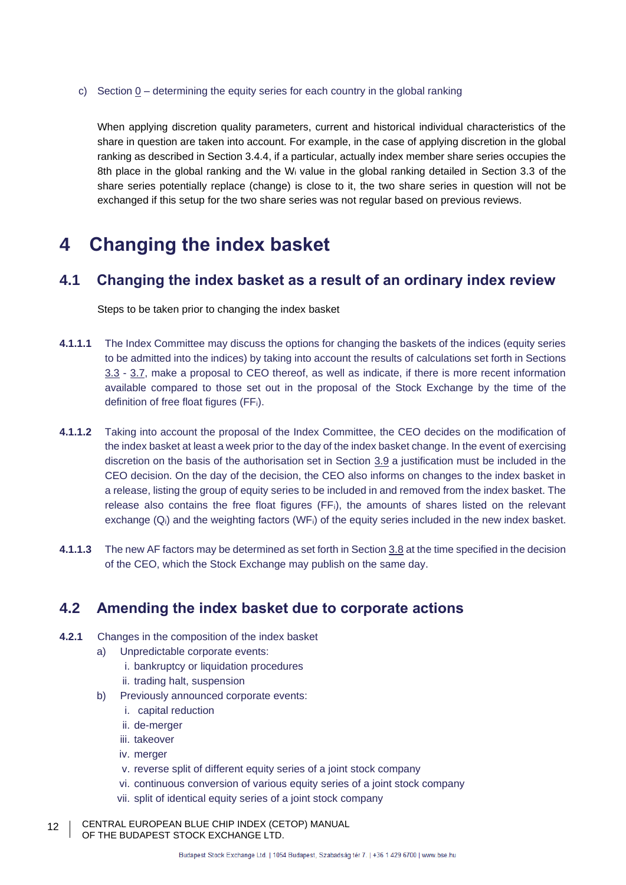c) Section  $0 -$  determining the equity series for each country in the global ranking

When applying discretion quality parameters, current and historical individual characteristics of the share in question are taken into account. For example, in the case of applying discretion in the global ranking as described in Section 3.4.4, if a particular, actually index member share series occupies the 8th place in the global ranking and the W<sup>i</sup> value in the global ranking detailed in Section 3.3 of the share series potentially replace (change) is close to it, the two share series in question will not be exchanged if this setup for the two share series was not regular based on previous reviews.

# **4 Changing the index basket**

# **4.1 Changing the index basket as a result of an ordinary index review**

Steps to be taken prior to changing the index basket

- **4.1.1.1** The Index Committee may discuss the options for changing the baskets of the indices (equity series to be admitted into the indices) by taking into account the results of calculations set forth in Sections [3.3](#page-7-2) - [3.7,](#page-10-0) make a proposal to CEO thereof, as well as indicate, if there is more recent information available compared to those set out in the proposal of the Stock Exchange by the time of the definition of free float figures (FFi).
- **4.1.1.2** Taking into account the proposal of the Index Committee, the CEO decides on the modification of the index basket at least a week prior to the day of the index basket change. In the event of exercising discretion on the basis of the authorisation set in Section [3.9](#page-10-1) a justification must be included in the CEO decision. On the day of the decision, the CEO also informs on changes to the index basket in a release, listing the group of equity series to be included in and removed from the index basket. The release also contains the free float figures (FFi), the amounts of shares listed on the relevant exchange (Qi) and the weighting factors (WFi) of the equity series included in the new index basket.
- **4.1.1.3** The new AF factors may be determined as set forth in Section [3.8](#page-10-2) at the time specified in the decision of the CEO, which the Stock Exchange may publish on the same day.

# **4.2 Amending the index basket due to corporate actions**

- <span id="page-11-1"></span><span id="page-11-0"></span>**4.2.1** Changes in the composition of the index basket
	- a) Unpredictable corporate events:
		- i. bankruptcy or liquidation procedures
		- ii. trading halt, suspension
	- b) Previously announced corporate events:
		- i. capital reduction
		- ii. de-merger
		- iii. takeover
		- iv. merger
		- v. reverse split of different equity series of a joint stock company
		- vi. continuous conversion of various equity series of a joint stock company
		- vii. split of identical equity series of a joint stock company
- CENTRAL EUROPEAN BLUE CHIP INDEX (CETOP) MANUAL OF THE BUDAPEST STOCK EXCHANGE LTD. 12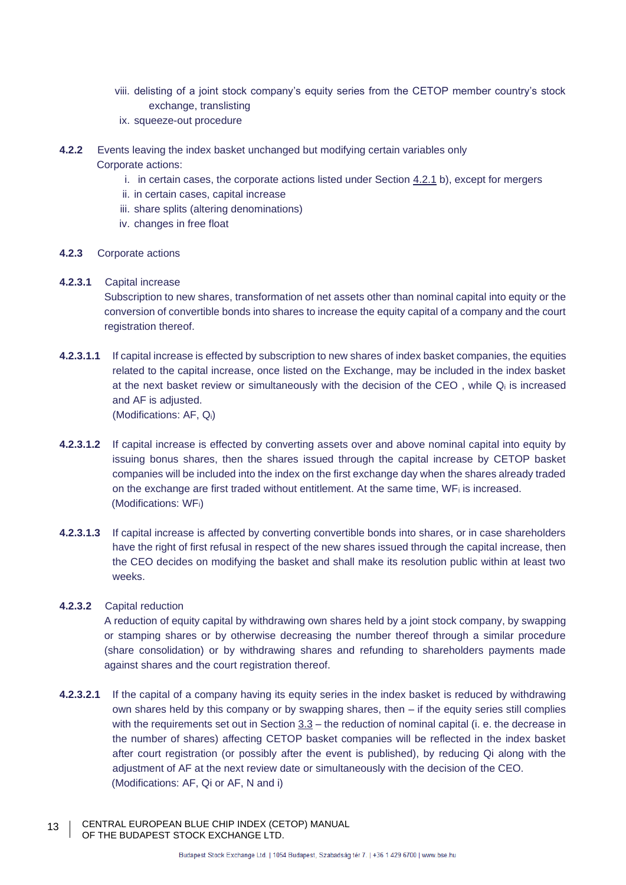- viii. delisting of a joint stock company's equity series from the CETOP member country's stock exchange, translisting
- ix. squeeze-out procedure
- **4.2.2** Events leaving the index basket unchanged but modifying certain variables only Corporate actions:
	- i. in certain cases, the corporate actions listed under Section [4.2.1](#page-11-0) [b\),](#page-11-1) except for mergers
	- ii. in certain cases, capital increase
	- iii. share splits (altering denominations)
	- iv. changes in free float

#### **4.2.3** Corporate actions

#### **4.2.3.1** Capital increase

Subscription to new shares, transformation of net assets other than nominal capital into equity or the conversion of convertible bonds into shares to increase the equity capital of a company and the court registration thereof.

<span id="page-12-1"></span>**4.2.3.1.1** If capital increase is effected by subscription to new shares of index basket companies, the equities related to the capital increase, once listed on the Exchange, may be included in the index basket at the next basket review or simultaneously with the decision of the CEO, while Q<sub>i</sub> is increased and AF is adjusted.

(Modifications: AF, Qi)

- <span id="page-12-2"></span>**4.2.3.1.2** If capital increase is effected by converting assets over and above nominal capital into equity by issuing bonus shares, then the shares issued through the capital increase by CETOP basket companies will be included into the index on the first exchange day when the shares already traded on the exchange are first traded without entitlement. At the same time, WFi is increased. (Modifications: WFi)
- <span id="page-12-3"></span>**4.2.3.1.3** If capital increase is affected by converting convertible bonds into shares, or in case shareholders have the right of first refusal in respect of the new shares issued through the capital increase, then the CEO decides on modifying the basket and shall make its resolution public within at least two weeks.

#### **4.2.3.2** Capital reduction

A reduction of equity capital by withdrawing own shares held by a joint stock company, by swapping or stamping shares or by otherwise decreasing the number thereof through a similar procedure (share consolidation) or by withdrawing shares and refunding to shareholders payments made against shares and the court registration thereof.

- <span id="page-12-0"></span>**4.2.3.2.1** If the capital of a company having its equity series in the index basket is reduced by withdrawing own shares held by this company or by swapping shares, then – if the equity series still complies with the requirements set out in Section  $3.3$  – the reduction of nominal capital (i. e. the decrease in the number of shares) affecting CETOP basket companies will be reflected in the index basket after court registration (or possibly after the event is published), by reducing Qi along with the adjustment of AF at the next review date or simultaneously with the decision of the CEO. (Modifications: AF, Qi or AF, N and i)
- CENTRAL EUROPEAN BLUE CHIP INDEX (CETOP) MANUAL OF THE BUDAPEST STOCK EXCHANGE LTD. 13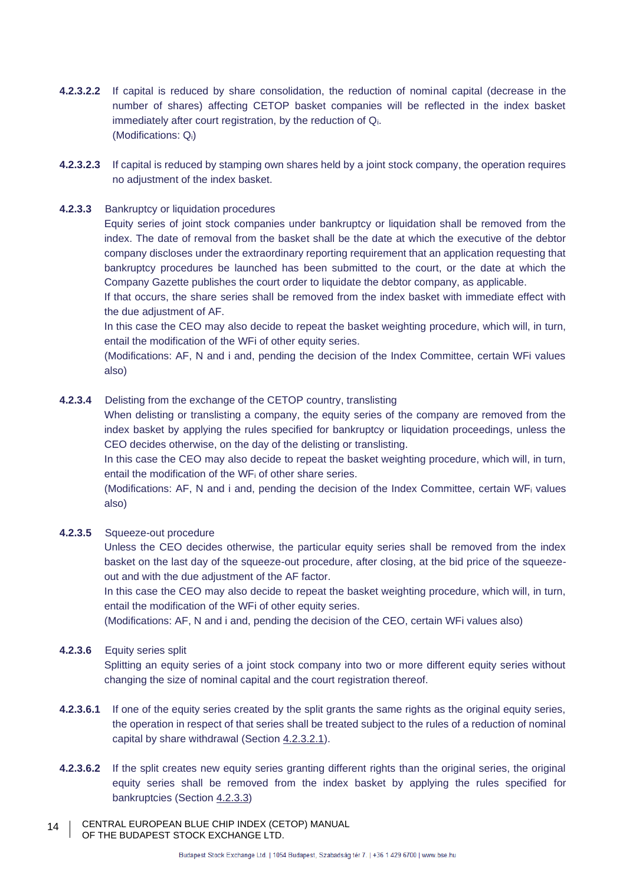- **4.2.3.2.2** If capital is reduced by share consolidation, the reduction of nominal capital (decrease in the number of shares) affecting CETOP basket companies will be reflected in the index basket immediately after court registration, by the reduction of Qi. (Modifications: Qi)
- **4.2.3.2.3** If capital is reduced by stamping own shares held by a joint stock company, the operation requires no adjustment of the index basket.

#### <span id="page-13-1"></span>**4.2.3.3** Bankruptcy or liquidation procedures

Equity series of joint stock companies under bankruptcy or liquidation shall be removed from the index. The date of removal from the basket shall be the date at which the executive of the debtor company discloses under the extraordinary reporting requirement that an application requesting that bankruptcy procedures be launched has been submitted to the court, or the date at which the Company Gazette publishes the court order to liquidate the debtor company, as applicable.

If that occurs, the share series shall be removed from the index basket with immediate effect with the due adjustment of AF.

In this case the CEO may also decide to repeat the basket weighting procedure, which will, in turn, entail the modification of the WFi of other equity series.

(Modifications: AF, N and i and, pending the decision of the Index Committee, certain WFi values also)

#### <span id="page-13-0"></span>**4.2.3.4** Delisting from the exchange of the CETOP country, translisting

When delisting or translisting a company, the equity series of the company are removed from the index basket by applying the rules specified for bankruptcy or liquidation proceedings, unless the CEO decides otherwise, on the day of the delisting or translisting.

In this case the CEO may also decide to repeat the basket weighting procedure, which will, in turn, entail the modification of the WF<sup>i</sup> of other share series.

(Modifications: AF, N and i and, pending the decision of the Index Committee, certain WF<sup>i</sup> values also)

#### <span id="page-13-2"></span>**4.2.3.5** Squeeze-out procedure

Unless the CEO decides otherwise, the particular equity series shall be removed from the index basket on the last day of the squeeze-out procedure, after closing, at the bid price of the squeezeout and with the due adjustment of the AF factor.

In this case the CEO may also decide to repeat the basket weighting procedure, which will, in turn, entail the modification of the WFi of other equity series.

(Modifications: AF, N and i and, pending the decision of the CEO, certain WFi values also)

#### <span id="page-13-3"></span>**4.2.3.6** Equity series split

Splitting an equity series of a joint stock company into two or more different equity series without changing the size of nominal capital and the court registration thereof.

- **4.2.3.6.1** If one of the equity series created by the split grants the same rights as the original equity series, the operation in respect of that series shall be treated subject to the rules of a reduction of nominal capital by share withdrawal (Section [4.2.3.2.1\)](#page-12-0).
- **4.2.3.6.2** If the split creates new equity series granting different rights than the original series, the original equity series shall be removed from the index basket by applying the rules specified for bankruptcies (Section [4.2.3.3\)](#page-13-1)
- CENTRAL EUROPEAN BLUE CHIP INDEX (CETOP) MANUAL OF THE BUDAPEST STOCK EXCHANGE LTD. 14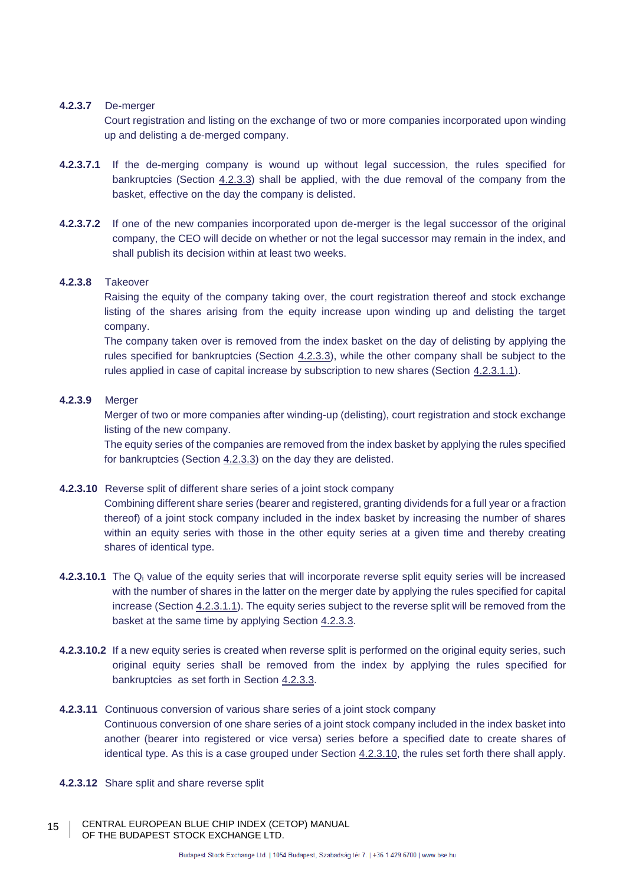#### <span id="page-14-1"></span>**4.2.3.7** De-merger

Court registration and listing on the exchange of two or more companies incorporated upon winding up and delisting a de-merged company.

- **4.2.3.7.1** If the de-merging company is wound up without legal succession, the rules specified for bankruptcies (Section [4.2.3.3\)](#page-13-1) shall be applied, with the due removal of the company from the basket, effective on the day the company is delisted.
- **4.2.3.7.2** If one of the new companies incorporated upon de-merger is the legal successor of the original company, the CEO will decide on whether or not the legal successor may remain in the index, and shall publish its decision within at least two weeks.

#### <span id="page-14-2"></span>**4.2.3.8** Takeover

Raising the equity of the company taking over, the court registration thereof and stock exchange listing of the shares arising from the equity increase upon winding up and delisting the target company.

The company taken over is removed from the index basket on the day of delisting by applying the rules specified for bankruptcies (Section [4.2.3.3\)](#page-13-1), while the other company shall be subject to the rules applied in case of capital increase by subscription to new shares (Section [4.2.3.1.1\)](#page-12-1).

#### <span id="page-14-3"></span>**4.2.3.9** Merger

Merger of two or more companies after winding-up (delisting), court registration and stock exchange listing of the new company.

The equity series of the companies are removed from the index basket by applying the rules specified for bankruptcies (Section [4.2.3.3\)](#page-13-1) on the day they are delisted.

#### <span id="page-14-0"></span>**4.2.3.10** Reverse split of different share series of a joint stock company

Combining different share series (bearer and registered, granting dividends for a full year or a fraction thereof) of a joint stock company included in the index basket by increasing the number of shares within an equity series with those in the other equity series at a given time and thereby creating shares of identical type.

- **4.2.3.10.1** The Q<sup>i</sup> value of the equity series that will incorporate reverse split equity series will be increased with the number of shares in the latter on the merger date by applying the rules specified for capital increase (Section [4.2.3.1.1\)](#page-12-1). The equity series subject to the reverse split will be removed from the basket at the same time by applying Section [4.2.3.3.](#page-13-1)
- **4.2.3.10.2** If a new equity series is created when reverse split is performed on the original equity series, such original equity series shall be removed from the index by applying the rules specified for bankruptcies as set forth in Section [4.2.3.3.](#page-13-1)
- <span id="page-14-4"></span>**4.2.3.11** Continuous conversion of various share series of a joint stock company Continuous conversion of one share series of a joint stock company included in the index basket into another (bearer into registered or vice versa) series before a specified date to create shares of identical type. As this is a case grouped under Section [4.2.3.10,](#page-14-0) the rules set forth there shall apply.
- **4.2.3.12** Share split and share reverse split
- CENTRAL EUROPEAN BLUE CHIP INDEX (CETOP) MANUAL OF THE BUDAPEST STOCK EXCHANGE LTD. 15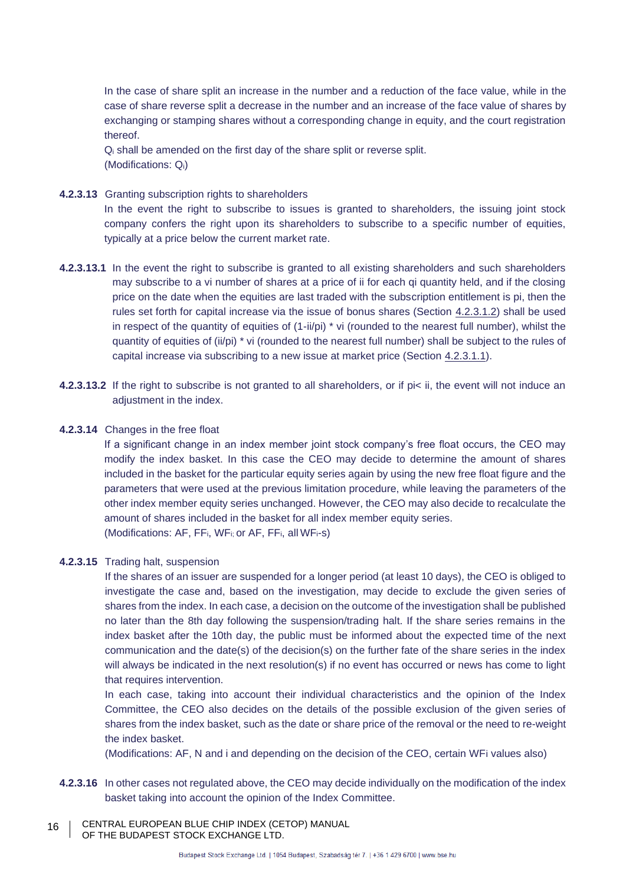In the case of share split an increase in the number and a reduction of the face value, while in the case of share reverse split a decrease in the number and an increase of the face value of shares by exchanging or stamping shares without a corresponding change in equity, and the court registration thereof.

Q<sup>i</sup> shall be amended on the first day of the share split or reverse split. (Modifications: Qi)

#### <span id="page-15-0"></span>**4.2.3.13** Granting subscription rights to shareholders

In the event the right to subscribe to issues is granted to shareholders, the issuing joint stock company confers the right upon its shareholders to subscribe to a specific number of equities, typically at a price below the current market rate.

- **4.2.3.13.1** In the event the right to subscribe is granted to all existing shareholders and such shareholders may subscribe to a vi number of shares at a price of ii for each qi quantity held, and if the closing price on the date when the equities are last traded with the subscription entitlement is pi, then the rules set forth for capital increase via the issue of bonus shares (Section [4.2.3.1.2\)](#page-12-2) shall be used in respect of the quantity of equities of  $(1-i*i*)$  \* vi (rounded to the nearest full number), whilst the quantity of equities of (ii/pi) \* vi (rounded to the nearest full number) shall be subject to the rules of capital increase via subscribing to a new issue at market price (Section [4.2.3.1.1\)](#page-12-1).
- **4.2.3.13.2** If the right to subscribe is not granted to all shareholders, or if pi< ii, the event will not induce an adjustment in the index.

#### <span id="page-15-1"></span>**4.2.3.14** Changes in the free float

If a significant change in an index member joint stock company's free float occurs, the CEO may modify the index basket. In this case the CEO may decide to determine the amount of shares included in the basket for the particular equity series again by using the new free float figure and the parameters that were used at the previous limitation procedure, while leaving the parameters of the other index member equity series unchanged. However, the CEO may also decide to recalculate the amount of shares included in the basket for all index member equity series.

(Modifications: AF, FFi, WFi; or AF, FFi, all WFi-s)

#### **4.2.3.15** Trading halt, suspension

If the shares of an issuer are suspended for a longer period (at least 10 days), the CEO is obliged to investigate the case and, based on the investigation, may decide to exclude the given series of shares from the index. In each case, a decision on the outcome of the investigation shall be published no later than the 8th day following the suspension/trading halt. If the share series remains in the index basket after the 10th day, the public must be informed about the expected time of the next communication and the date(s) of the decision(s) on the further fate of the share series in the index will always be indicated in the next resolution(s) if no event has occurred or news has come to light that requires intervention.

In each case, taking into account their individual characteristics and the opinion of the Index Committee, the CEO also decides on the details of the possible exclusion of the given series of shares from the index basket, such as the date or share price of the removal or the need to re-weight the index basket.

(Modifications: AF, N and i and depending on the decision of the CEO, certain WFi values also)

- **4.2.3.16** In other cases not regulated above, the CEO may decide individually on the modification of the index basket taking into account the opinion of the Index Committee.
- CENTRAL EUROPEAN BLUE CHIP INDEX (CETOP) MANUAL OF THE BUDAPEST STOCK EXCHANGE LTD. 16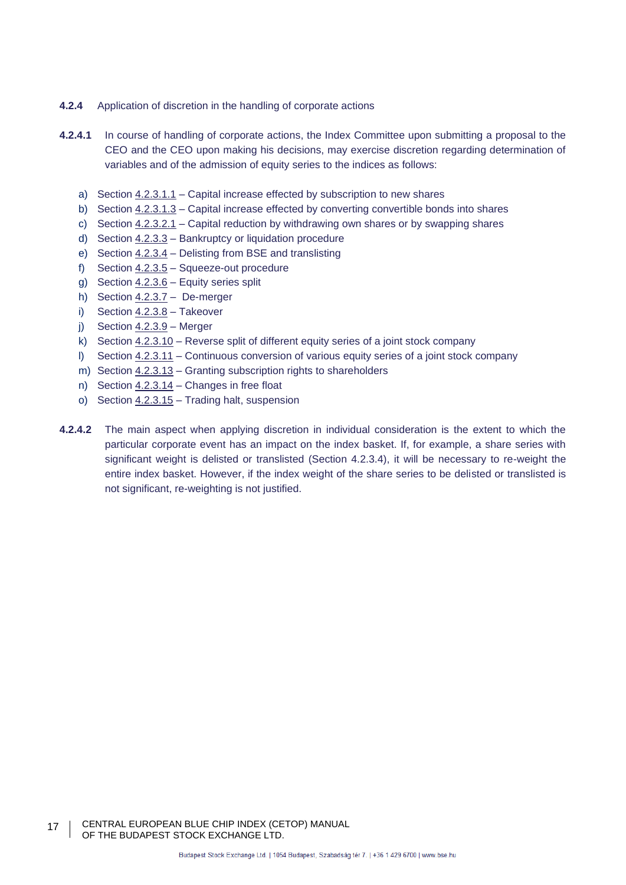- **4.2.4** Application of discretion in the handling of corporate actions
- **4.2.4.1** In course of handling of corporate actions, the Index Committee upon submitting a proposal to the CEO and the CEO upon making his decisions, may exercise discretion regarding determination of variables and of the admission of equity series to the indices as follows:
	- a) Section [4.2.3.1.1](#page-12-1) Capital increase effected by subscription to new shares
	- b) Section [4.2.3.1.3](#page-12-3) Capital increase effected by converting convertible bonds into shares
	- c) Section [4.2.3.2.1](#page-12-0) Capital reduction by withdrawing own shares or by swapping shares
	- d) Section [4.2.3.3](#page-13-1) Bankruptcy or liquidation procedure
	- e) Section [4.2.3.4](#page-13-0) Delisting from BSE and translisting
	- f) Section [4.2.3.5](#page-13-2) Squeeze-out procedure
	- g) Section [4.2.3.6](#page-13-3) Equity series split
	- h) Section [4.2.3.7](#page-14-1) De-merger
	- i) Section [4.2.3.8](#page-14-2) Takeover
	- j) Section  $4.2.3.9$  Merger
	- k) Section [4.2.3.10](#page-14-0) Reverse split of different equity series of a joint stock company
	- l) Section [4.2.3.11](#page-14-4) Continuous conversion of various equity series of a joint stock company
	- m) Section [4.2.3.13](#page-15-0) Granting subscription rights to shareholders
	- n) Section [4.2.3.14](#page-15-1) Changes in free float
	- o) Section 4.2.3.15 Trading halt, suspension
- **4.2.4.2** The main aspect when applying discretion in individual consideration is the extent to which the particular corporate event has an impact on the index basket. If, for example, a share series with significant weight is delisted or translisted (Section 4.2.3.4), it will be necessary to re-weight the entire index basket. However, if the index weight of the share series to be delisted or translisted is not significant, re-weighting is not justified.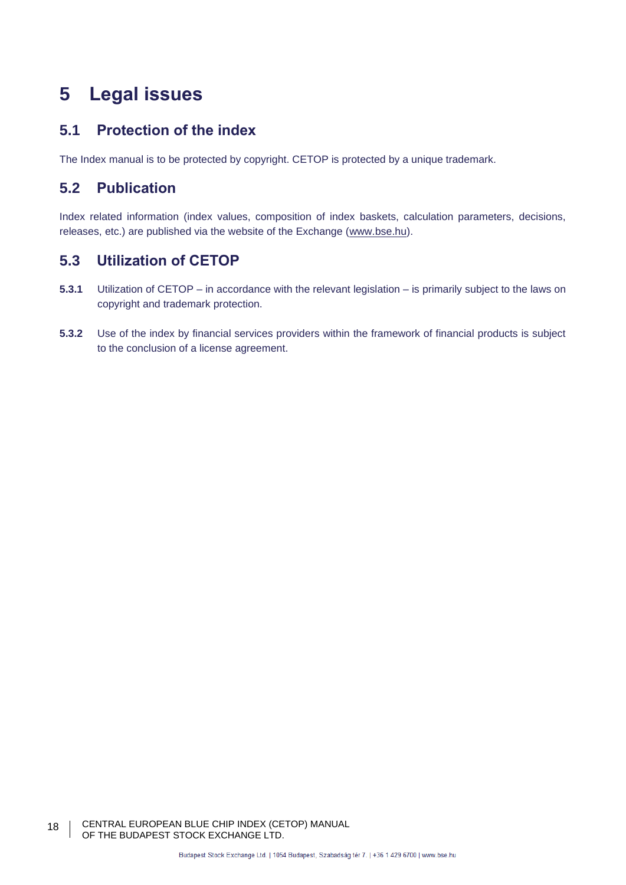# <span id="page-17-0"></span>**5 Legal issues**

# **5.1 Protection of the index**

The Index manual is to be protected by copyright. CETOP is protected by a unique trademark.

# **5.2 Publication**

Index related information (index values, composition of index baskets, calculation parameters, decisions, releases, etc.) are published via the website of the Exchange [\(www.bse.hu\)](http://www.bse.hu/).

# **5.3 Utilization of CETOP**

- **5.3.1** Utilization of CETOP in accordance with the relevant legislation is primarily subject to the laws on copyright and trademark protection.
- **5.3.2** Use of the index by financial services providers within the framework of financial products is subject to the conclusion of a license agreement.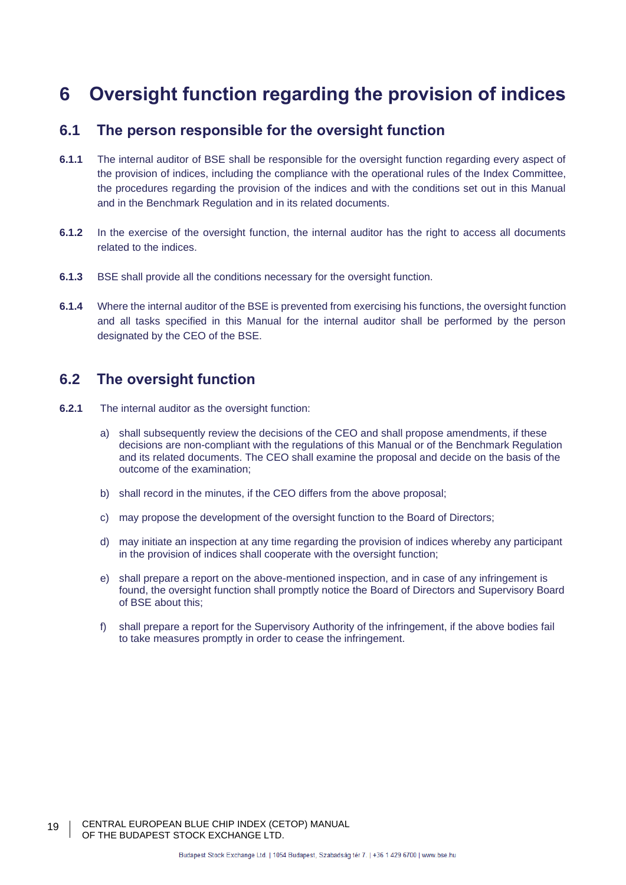# **6 Oversight function regarding the provision of indices**

## **6.1 The person responsible for the oversight function**

- **6.1.1** The internal auditor of BSE shall be responsible for the oversight function regarding every aspect of the provision of indices, including the compliance with the operational rules of the Index Committee, the procedures regarding the provision of the indices and with the conditions set out in this Manual and in the Benchmark Regulation and in its related documents.
- **6.1.2** In the exercise of the oversight function, the internal auditor has the right to access all documents related to the indices.
- **6.1.3** BSE shall provide all the conditions necessary for the oversight function.
- **6.1.4** Where the internal auditor of the BSE is prevented from exercising his functions, the oversight function and all tasks specified in this Manual for the internal auditor shall be performed by the person designated by the CEO of the BSE.

## **6.2 The oversight function**

- **6.2.1** The internal auditor as the oversight function:
	- a) shall subsequently review the decisions of the CEO and shall propose amendments, if these decisions are non-compliant with the regulations of this Manual or of the Benchmark Regulation and its related documents. The CEO shall examine the proposal and decide on the basis of the outcome of the examination;
	- b) shall record in the minutes, if the CEO differs from the above proposal;
	- c) may propose the development of the oversight function to the Board of Directors;
	- d) may initiate an inspection at any time regarding the provision of indices whereby any participant in the provision of indices shall cooperate with the oversight function;
	- e) shall prepare a report on the above-mentioned inspection, and in case of any infringement is found, the oversight function shall promptly notice the Board of Directors and Supervisory Board of BSE about this;
	- f) shall prepare a report for the Supervisory Authority of the infringement, if the above bodies fail to take measures promptly in order to cease the infringement.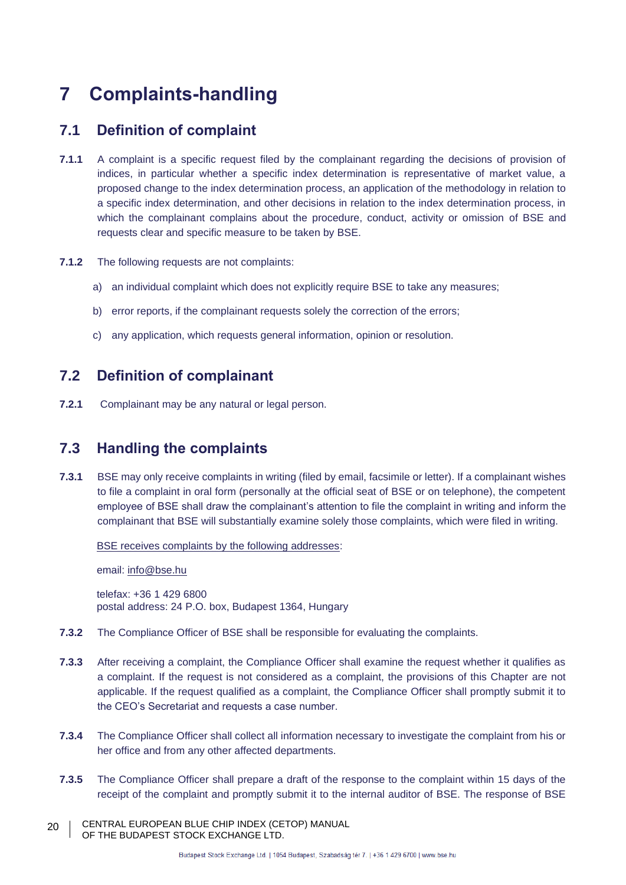# **7 Complaints-handling**

# **7.1 Definition of complaint**

- **7.1.1** A complaint is a specific request filed by the complainant regarding the decisions of provision of indices, in particular whether a specific index determination is representative of market value, a proposed change to the index determination process, an application of the methodology in relation to a specific index determination, and other decisions in relation to the index determination process, in which the complainant complains about the procedure, conduct, activity or omission of BSE and requests clear and specific measure to be taken by BSE.
- **7.1.2** The following requests are not complaints:
	- a) an individual complaint which does not explicitly require BSE to take any measures;
	- b) error reports, if the complainant requests solely the correction of the errors;
	- c) any application, which requests general information, opinion or resolution.

# **7.2 Definition of complainant**

**7.2.1** Complainant may be any natural or legal person.

# **7.3 Handling the complaints**

**7.3.1** BSE may only receive complaints in writing (filed by email, facsimile or letter). If a complainant wishes to file a complaint in oral form (personally at the official seat of BSE or on telephone), the competent employee of BSE shall draw the complainant's attention to file the complaint in writing and inform the complainant that BSE will substantially examine solely those complaints, which were filed in writing.

BSE receives complaints by the following addresses:

email: [info@bse.hu](mailto:info@bse.hu)

telefax: +36 1 429 6800 postal address: 24 P.O. box, Budapest 1364, Hungary

- **7.3.2** The Compliance Officer of BSE shall be responsible for evaluating the complaints.
- **7.3.3** After receiving a complaint, the Compliance Officer shall examine the request whether it qualifies as a complaint. If the request is not considered as a complaint, the provisions of this Chapter are not applicable. If the request qualified as a complaint, the Compliance Officer shall promptly submit it to the CEO's Secretariat and requests a case number.
- **7.3.4** The Compliance Officer shall collect all information necessary to investigate the complaint from his or her office and from any other affected departments.
- **7.3.5** The Compliance Officer shall prepare a draft of the response to the complaint within 15 days of the receipt of the complaint and promptly submit it to the internal auditor of BSE. The response of BSE
- CENTRAL EUROPEAN BLUE CHIP INDEX (CETOP) MANUAL OF THE BUDAPEST STOCK EXCHANGE LTD. 20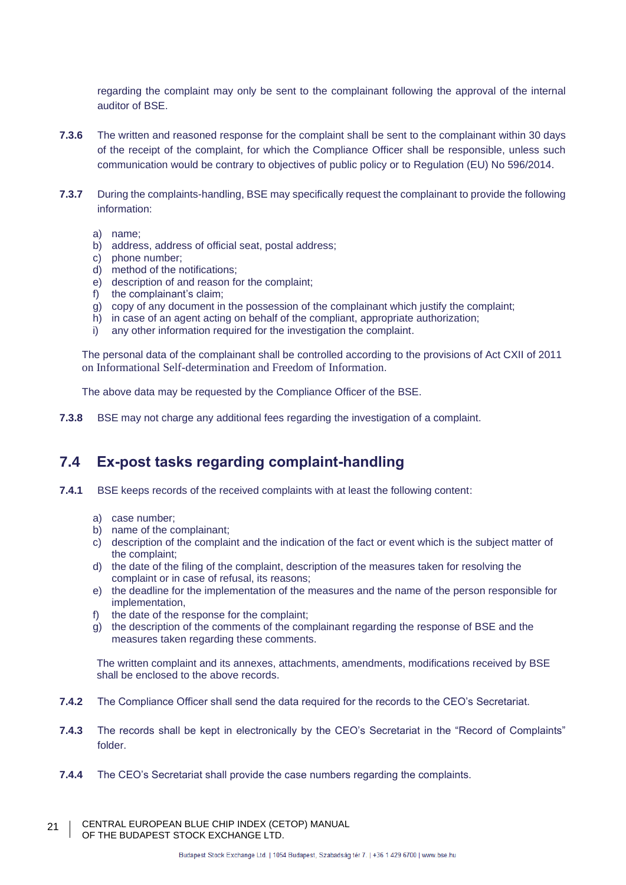regarding the complaint may only be sent to the complainant following the approval of the internal auditor of BSE.

- **7.3.6** The written and reasoned response for the complaint shall be sent to the complainant within 30 days of the receipt of the complaint, for which the Compliance Officer shall be responsible, unless such communication would be contrary to objectives of public policy or to Regulation (EU) No 596/2014.
- **7.3.7** During the complaints-handling, BSE may specifically request the complainant to provide the following information:
	- a) name;
	- b) address, address of official seat, postal address;
	- c) phone number;
	- d) method of the notifications;
	- e) description of and reason for the complaint;
	- f) the complainant's claim;
	- g) copy of any document in the possession of the complainant which justify the complaint;
	- h) in case of an agent acting on behalf of the compliant, appropriate authorization;
	- i) any other information required for the investigation the complaint.

The personal data of the complainant shall be controlled according to the provisions of Act CXII of 2011 on Informational Self-determination and Freedom of Information.

The above data may be requested by the Compliance Officer of the BSE.

**7.3.8** BSE may not charge any additional fees regarding the investigation of a complaint.

# **7.4 Ex-post tasks regarding complaint-handling**

- **7.4.1** BSE keeps records of the received complaints with at least the following content:
	- a) case number;
	- b) name of the complainant;
	- c) description of the complaint and the indication of the fact or event which is the subject matter of the complaint;
	- d) the date of the filing of the complaint, description of the measures taken for resolving the complaint or in case of refusal, its reasons;
	- e) the deadline for the implementation of the measures and the name of the person responsible for implementation,
	- f) the date of the response for the complaint;
	- g) the description of the comments of the complainant regarding the response of BSE and the measures taken regarding these comments.

The written complaint and its annexes, attachments, amendments, modifications received by BSE shall be enclosed to the above records.

- **7.4.2** The Compliance Officer shall send the data required for the records to the CEO's Secretariat.
- **7.4.3** The records shall be kept in electronically by the CEO's Secretariat in the "Record of Complaints" folder.
- **7.4.4** The CEO's Secretariat shall provide the case numbers regarding the complaints.
- CENTRAL EUROPEAN BLUE CHIP INDEX (CETOP) MANUAL OF THE BUDAPEST STOCK EXCHANGE LTD. 21